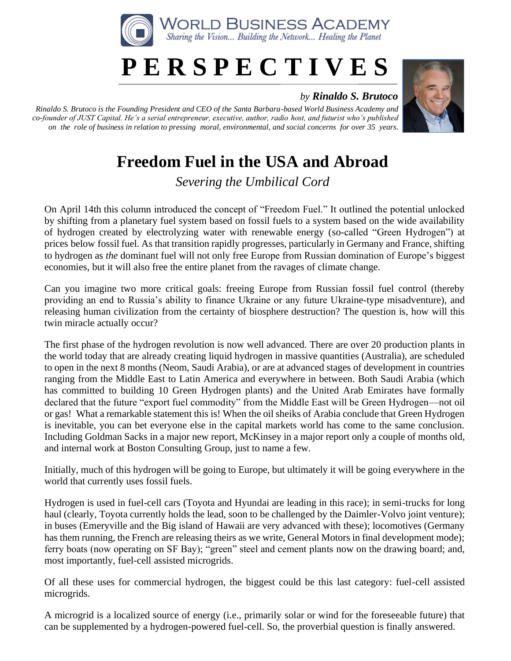

## **P E R S P E C T I V E S**

## *by Rinaldo S. Brutoco*

*Rinaldo S. Brutoco is the Founding President and CEO of the Santa Barbara-based World Business Academy and co-founder of JUST Capital. He's a serial entrepreneur, executive, author, radio host, and futurist who's published on the role of business in relation to pressing moral, environmental, and social concerns for over 35 years.*



## **Freedom Fuel in the USA and Abroad**

*Severing the Umbilical Cord*

On April 14th this column introduced the concept of "Freedom Fuel." It outlined the potential unlocked by shifting from a planetary fuel system based on fossil fuels to a system based on the wide availability of hydrogen created by electrolyzing water with renewable energy (so-called "Green Hydrogen") at prices below fossil fuel. As that transition rapidly progresses, particularly in Germany and France, shifting to hydrogen as *the* dominant fuel will not only free Europe from Russian domination of Europe's biggest economies, but it will also free the entire planet from the ravages of climate change.

Can you imagine two more critical goals: freeing Europe from Russian fossil fuel control (thereby providing an end to Russia's ability to finance Ukraine or any future Ukraine-type misadventure), and releasing human civilization from the certainty of biosphere destruction? The question is, how will this twin miracle actually occur?

The first phase of the hydrogen revolution is now well advanced. There are over 20 production plants in the world today that are already creating liquid hydrogen in massive quantities (Australia), are scheduled to open in the next 8 months (Neom, Saudi Arabia), or are at advanced stages of development in countries ranging from the Middle East to Latin America and everywhere in between. Both Saudi Arabia (which has committed to building 10 Green Hydrogen plants) and the United Arab Emirates have formally declared that the future "export fuel commodity" from the Middle East will be Green Hydrogen—not oil or gas! What a remarkable statement this is! When the oil sheiks of Arabia conclude that Green Hydrogen is inevitable, you can bet everyone else in the capital markets world has come to the same conclusion. Including Goldman Sacks in a major new report, McKinsey in a major report only a couple of months old, and internal work at Boston Consulting Group, just to name a few.

Initially, much of this hydrogen will be going to Europe, but ultimately it will be going everywhere in the world that currently uses fossil fuels.

Hydrogen is used in fuel-cell cars (Toyota and Hyundai are leading in this race); in semi-trucks for long haul (clearly, Toyota currently holds the lead, soon to be challenged by the Daimler-Volvo joint venture); in buses (Emeryville and the Big island of Hawaii are very advanced with these); locomotives (Germany has them running, the French are releasing theirs as we write, General Motors in final development mode); ferry boats (now operating on SF Bay); "green" steel and cement plants now on the drawing board; and, most importantly, fuel-cell assisted microgrids.

Of all these uses for commercial hydrogen, the biggest could be this last category: fuel-cell assisted microgrids.

A microgrid is a localized source of energy (i.e., primarily solar or wind for the foreseeable future) that can be supplemented by a hydrogen-powered fuel-cell. So, the proverbial question is finally answered.